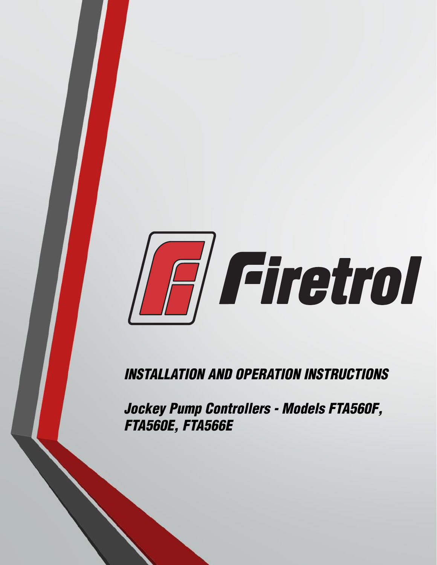

*INSTALLATION AND OPERATION INSTRUCTIONS*

*Jockey Pump Controllers - Models FTA560F, FTA560E, FTA566E*

the second control of the second control of the second control of the second control of the second control of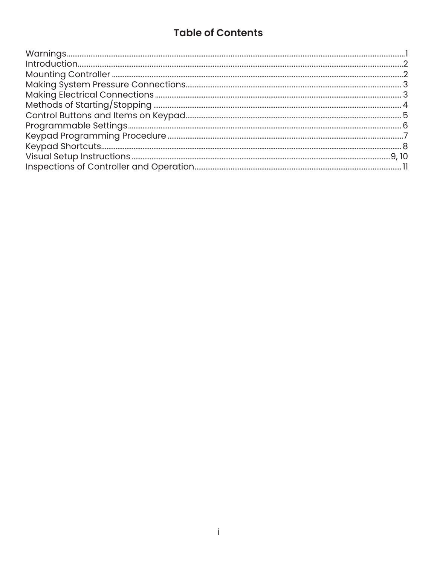### **Table of Contents**

| $\verb Warnings  $ |  |
|--------------------|--|
|                    |  |
|                    |  |
|                    |  |
|                    |  |
|                    |  |
|                    |  |
|                    |  |
|                    |  |
|                    |  |
|                    |  |
|                    |  |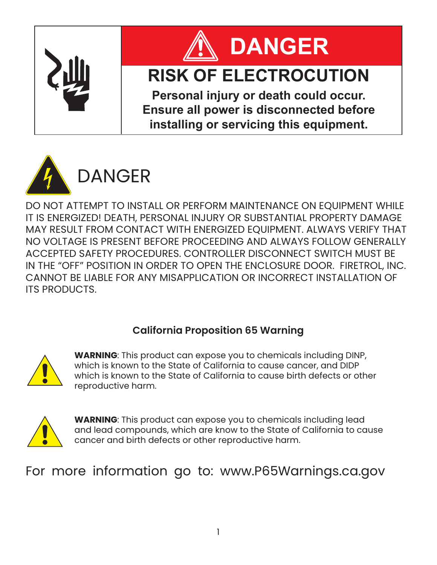



# **RISK OF ELECTROCUTION**

**Personal injury or death could occur. Ensure all power is disconnected before installing or servicing this equipment.**



DO NOT ATTEMPT TO INSTALL OR PERFORM MAINTENANCE ON EQUIPMENT WHILE IT IS ENERGIZED! DEATH, PERSONAL INJURY OR SUBSTANTIAL PROPERTY DAMAGE MAY RESULT FROM CONTACT WITH ENERGIZED EQUIPMENT. ALWAYS VERIFY THAT NO VOLTAGE IS PRESENT BEFORE PROCEEDING AND ALWAYS FOLLOW GENERALLY ACCEPTED SAFETY PROCEDURES. CONTROLLER DISCONNECT SWITCH MUST BE IN THE "OFF" POSITION IN ORDER TO OPEN THE ENCLOSURE DOOR. FIRETROL, INC. CANNOT BE LIABLE FOR ANY MISAPPLICATION OR INCORRECT INSTALLATION OF ITS PRODUCTS.

### **California Proposition 65 Warning**



**WARNING**: This product can expose you to chemicals including DINP, which is known to the State of California to cause cancer, and DIDP which is known to the State of California to cause birth defects or other reproductive harm.



**WARNING**: This product can expose you to chemicals including lead and lead compounds, which are know to the State of California to cause cancer and birth defects or other reproductive harm.

## For more information go to: www.P65Warnings.ca.gov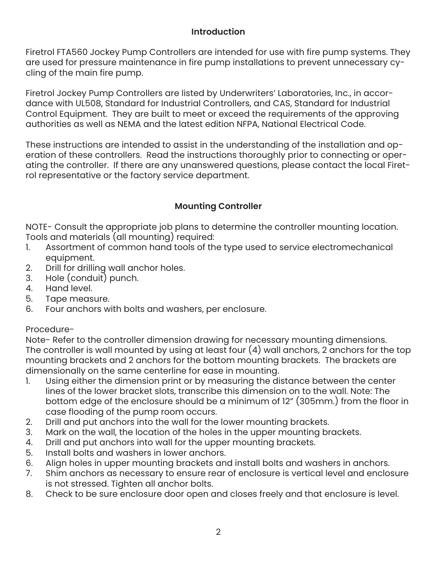#### **Introduction**

Firetrol FTA560 Jockey Pump Controllers are intended for use with fire pump systems. They are used for pressure maintenance in fire pump installations to prevent unnecessary cycling of the main fire pump.

Firetrol Jockey Pump Controllers are listed by Underwriters' Laboratories, Inc., in accordance with UL508, Standard for Industrial Controllers, and CAS, Standard for Industrial Control Equipment. They are built to meet or exceed the requirements of the approving authorities as well as NEMA and the latest edition NFPA, National Electrical Code.

These instructions are intended to assist in the understanding of the installation and operation of these controllers. Read the instructions thoroughly prior to connecting or operating the controller. If there are any unanswered questions, please contact the local Firetrol representative or the factory service department.

#### **Mounting Controller**

NOTE- Consult the appropriate job plans to determine the controller mounting location. Tools and materials (all mounting) required:<br>1. Assortment of common hand tools of the

- Assortment of common hand tools of the type used to service electromechanical equipment.
- 2. Drill for drilling wall anchor holes.
- 3. Hole (conduit) punch.
- 4. Hand level.<br>5. Tape meas
- Tape measure.
- 6. Four anchors with bolts and washers, per enclosure.

#### Procedure-

Note- Refer to the controller dimension drawing for necessary mounting dimensions. The controller is wall mounted by using at least four  $(4)$  wall anchors, 2 anchors for the top mounting brackets and 2 anchors for the bottom mounting brackets. The brackets are dimensionally on the same centerline for ease in mounting.

- 1. Using either the dimension print or by measuring the distance between the center lines of the lower bracket slots, transcribe this dimension on to the wall. Note: The bottom edge of the enclosure should be a minimum of 12" (305mm.) from the floor in case flooding of the pump room occurs.
- 2. Drill and put anchors into the wall for the lower mounting brackets.
- 3. Mark on the wall, the location of the holes in the upper mounting brackets.
- 4. Drill and put anchors into wall for the upper mounting brackets.
- 5. Install bolts and washers in lower anchors.<br>6. Alian holes in upper mountina brackets an
- Align holes in upper mounting brackets and install bolts and washers in anchors.
- 7. Shim anchors as necessary to ensure rear of enclosure is vertical level and enclosure is not stressed. Tighten all anchor bolts.
- 8. Check to be sure enclosure door open and closes freely and that enclosure is level.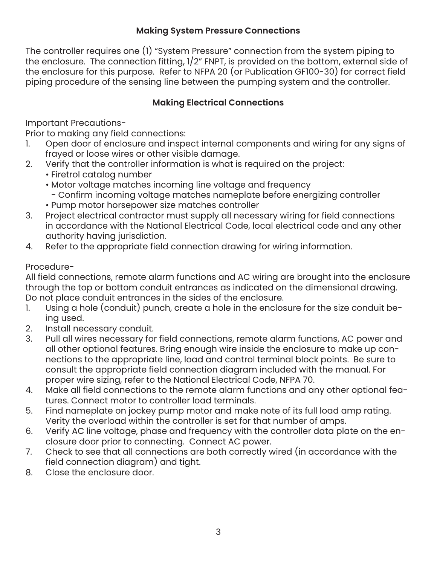#### **Making System Pressure Connections**

The controller requires one (1) "System Pressure" connection from the system piping to the enclosure. The connection fitting, 1/2" FNPT, is provided on the bottom, external side of the enclosure for this purpose. Refer to NFPA 20 (or Publication GF100-30) for correct field piping procedure of the sensing line between the pumping system and the controller.

#### **Making Electrical Connections**

Important Precautions-

Prior to making any field connections:

- 1. Open door of enclosure and inspect internal components and wiring for any signs of frayed or loose wires or other visible damage.
- 2. Verify that the controller information is what is required on the project:
	- Firetrol catalog number
	- Motor voltage matches incoming line voltage and frequency
		- Confirm incoming voltage matches nameplate before energizing controller
	- Pump motor horsepower size matches controller
- 3. Project electrical contractor must supply all necessary wiring for field connections in accordance with the National Electrical Code, local electrical code and any other authority having jurisdiction.
- 4. Refer to the appropriate field connection drawing for wiring information.

#### Procedure-

All field connections, remote alarm functions and AC wiring are brought into the enclosure through the top or bottom conduit entrances as indicated on the dimensional drawing. Do not place conduit entrances in the sides of the enclosure.

- 1. Using a hole (conduit) punch, create a hole in the enclosure for the size conduit being used.
- 2. Install necessary conduit.
- Pull all wires necessary for field connections, remote alarm functions, AC power and all other optional features. Bring enough wire inside the enclosure to make up connections to the appropriate line, load and control terminal block points. Be sure to consult the appropriate field connection diagram included with the manual. For proper wire sizing, refer to the National Electrical Code, NFPA 70.
- 4. Make all field connections to the remote alarm functions and any other optional features. Connect motor to controller load terminals.
- 5. Find nameplate on jockey pump motor and make note of its full load amp rating. Verity the overload within the controller is set for that number of amps.
- 6. Verify AC line voltage, phase and frequency with the controller data plate on the enclosure door prior to connecting. Connect AC power.
- 7. Check to see that all connections are both correctly wired (in accordance with the field connection diagram) and tight.
- 8. Close the enclosure door.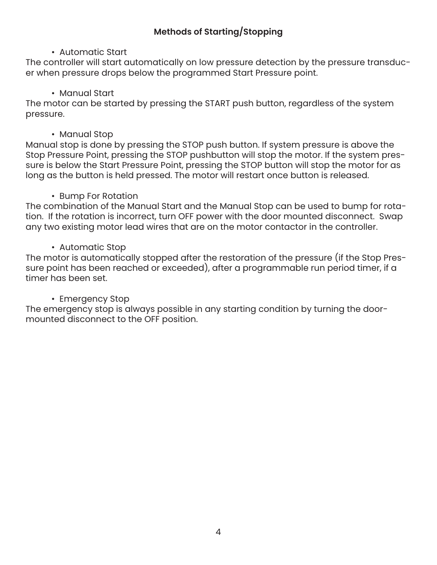#### **Methods of Starting/Stopping**

#### • Automatic Start

The controller will start automatically on low pressure detection by the pressure transducer when pressure drops below the programmed Start Pressure point.

#### • Manual Start

The motor can be started by pressing the START push button, regardless of the system pressure.

#### • Manual Stop

Manual stop is done by pressing the STOP push button. If system pressure is above the Stop Pressure Point, pressing the STOP pushbutton will stop the motor. If the system pressure is below the Start Pressure Point, pressing the STOP button will stop the motor for as long as the button is held pressed. The motor will restart once button is released.

#### • Bump For Rotation

The combination of the Manual Start and the Manual Stop can be used to bump for rotation. If the rotation is incorrect, turn OFF power with the door mounted disconnect. Swap any two existing motor lead wires that are on the motor contactor in the controller.

#### • Automatic Stop

The motor is automatically stopped after the restoration of the pressure (if the Stop Pressure point has been reached or exceeded), after a programmable run period timer, if a timer has been set.

#### • Emergency Stop

The emergency stop is always possible in any starting condition by turning the doormounted disconnect to the OFF position.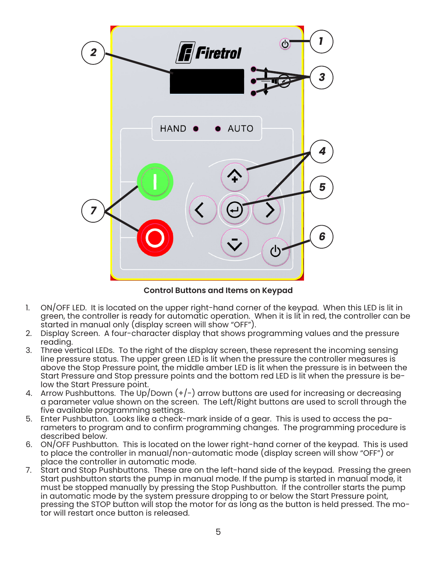

**Control Buttons and Items on Keypad**

- 1. ON/OFF LED. It is located on the upper right-hand corner of the keypad. When this LED is lit in green, the controller is ready for automatic operation. When it is lit in red, the controller can be started in manual only (display screen will show "OFF").
- 2. Display Screen. A four-character display that shows programming values and the pressure reading.
- 3. Three vertical LEDs. To the right of the display screen, these represent the incoming sensing line pressure status. The upper green LED is lit when the pressure the controller measures is above the Stop Pressure point, the middle amber LED is lit when the pressure is in between the Start Pressure and Stop pressure points and the bottom red LED is lit when the pressure is below the Start Pressure point.
- 4. Arrow Pushbuttons. The Up/Down  $(+/-)$  arrow buttons are used for increasing or decreasing a parameter value shown on the screen. The Left/Right buttons are used to scroll through the five available programming settings.
- 5. Enter Pushbutton. Looks like a check-mark inside of a gear. This is used to access the parameters to program and to confirm programming changes. The programming procedure is described below.
- 6. ON/OFF Pushbutton. This is located on the lower right-hand corner of the keypad. This is used to place the controller in manual/non-automatic mode (display screen will show "OFF") or place the controller in automatic mode.
- 7. Start and Stop Pushbuttons. These are on the left-hand side of the keypad. Pressing the green Start pushbutton starts the pump in manual mode. If the pump is started in manual mode, it must be stopped manually by pressing the Stop Pushbutton. If the controller starts the pump in automatic mode by the system pressure dropping to or below the Start Pressure point, pressing the STOP button will stop the motor for as long as the button is held pressed. The motor will restart once button is released.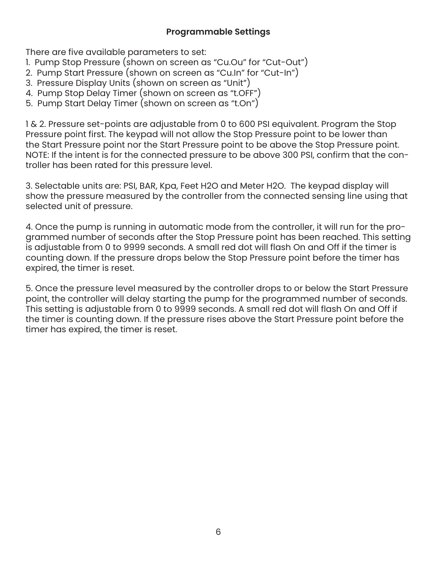#### **Programmable Settings**

There are five available parameters to set:

- 1. Pump Stop Pressure (shown on screen as "Cu.Ou" for "Cut-Out")
- 2. Pump Start Pressure (shown on screen as "Cu.In" for "Cut-In")
- 3. Pressure Display Units (shown on screen as "Unit")
- 4. Pump Stop Delay Timer (shown on screen as "t.OFF")
- 5. Pump Start Delay Timer (shown on screen as "t.On")

1 & 2. Pressure set-points are adjustable from 0 to 600 PSI equivalent. Program the Stop Pressure point first. The keypad will not allow the Stop Pressure point to be lower than the Start Pressure point nor the Start Pressure point to be above the Stop Pressure point. NOTE: If the intent is for the connected pressure to be above 300 PSI, confirm that the controller has been rated for this pressure level.

3. Selectable units are: PSI, BAR, Kpa, Feet H2O and Meter H2O. The keypad display will show the pressure measured by the controller from the connected sensing line using that selected unit of pressure.

4. Once the pump is running in automatic mode from the controller, it will run for the programmed number of seconds after the Stop Pressure point has been reached. This setting is adjustable from 0 to 9999 seconds. A small red dot will flash On and Off if the timer is counting down. If the pressure drops below the Stop Pressure point before the timer has expired, the timer is reset.

5. Once the pressure level measured by the controller drops to or below the Start Pressure point, the controller will delay starting the pump for the programmed number of seconds. This setting is adjustable from 0 to 9999 seconds. A small red dot will flash On and Off if the timer is counting down. If the pressure rises above the Start Pressure point before the timer has expired, the timer is reset.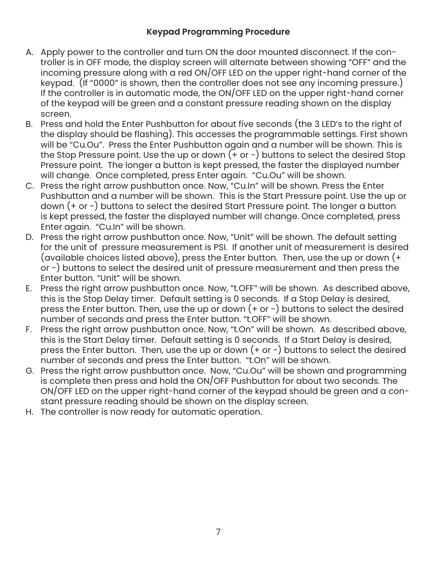#### **Keypad Programming Procedure**

- A. Apply power to the controller and turn ON the door mounted disconnect. If the controller is in OFF mode, the display screen will alternate between showing "OFF" and the incoming pressure along with a red ON/OFF LED on the upper right-hand corner of the keypad. (If "0000" is shown, then the controller does not see any incoming pressure.) If the controller is in automatic mode, the ON/OFF LED on the upper right-hand corner of the keypad will be green and a constant pressure reading shown on the display screen.
- B. Press and hold the Enter Pushbutton for about five seconds (the 3 LED's to the right of the display should be flashing). This accesses the programmable settings. First shown will be "Cu.Ou". Press the Enter Pushbutton again and a number will be shown. This is the Stop Pressure point. Use the up or down  $(+)$  or  $-)$  buttons to select the desired Stop Pressure point. The longer a button is kept pressed, the faster the displayed number will change. Once completed, press Enter again. "Cu.Ou" will be shown.
- C. Press the right arrow pushbutton once. Now, "Cu.In" will be shown. Press the Enter Pushbutton and a number will be shown. This is the Start Pressure point. Use the up or down (+ or -) buttons to select the desired Start Pressure point. The longer a button is kept pressed, the faster the displayed number will change. Once completed, press Enter again. "Cu.In" will be shown.
- D. Press the right arrow pushbutton once. Now, "Unit" will be shown. The default setting for the unit of pressure measurement is PSI. If another unit of measurement is desired (available choices listed above), press the Enter button. Then, use the up or down (+ or -) buttons to select the desired unit of pressure measurement and then press the Enter button. "Unit" will be shown.
- E. Press the right arrow pushbutton once. Now, "t.OFF" will be shown. As described above, this is the Stop Delay timer. Default setting is 0 seconds. If a Stop Delay is desired, press the Enter button. Then, use the up or down  $(+)$  or  $-)$  buttons to select the desired number of seconds and press the Enter button. "t.OFF" will be shown.
- F. Press the right arrow pushbutton once. Now, "t.On" will be shown. As described above, this is the Start Delay timer. Default setting is 0 seconds. If a Start Delay is desired, press the Enter button. Then, use the up or down  $(+)$  or  $-)$  buttons to select the desired number of seconds and press the Enter button. "t.On" will be shown.
- G. Press the right arrow pushbutton once. Now, "Cu.Ou" will be shown and programming is complete then press and hold the ON/OFF Pushbutton for about two seconds. The ON/OFF LED on the upper right-hand corner of the keypad should be green and a constant pressure reading should be shown on the display screen.
- H. The controller is now ready for automatic operation.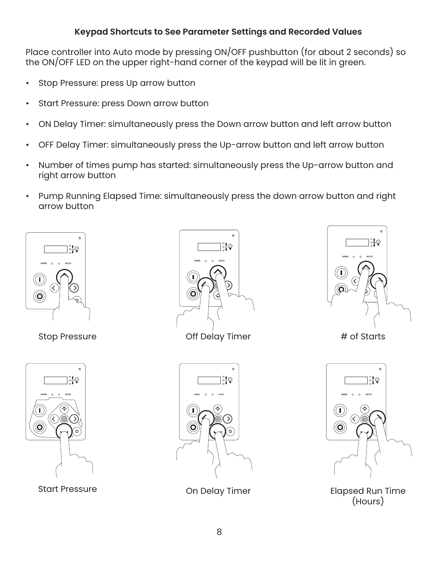#### **Keypad Shortcuts to See Parameter Settings and Recorded Values**

Place controller into Auto mode by pressing ON/OFF pushbutton (for about 2 seconds) so the ON/OFF LED on the upper right-hand corner of the keypad will be lit in green.

- Stop Pressure: press Up arrow button
- Start Pressure: press Down arrow button
- ON Delay Timer: simultaneously press the Down arrow button and left arrow button
- OFF Delay Timer: simultaneously press the Up-arrow button and left arrow button
- Number of times pump has started: simultaneously press the Up-arrow button and right arrow button
- Pump Running Elapsed Time: simultaneously press the down arrow button and right arrow button







Stop Pressure **Stop Pressure Stop Pressure Accord Pressure Conservation Conservation Conservation Accord Accord Accord Accord Accord Accord Accord Accord Accord Accord Accord Accord Accord Accord Accord Accord Accord** 







Start Pressure **Elapsed Run Timer** Con Delay Timer **Elapsed Run Time** (Hours)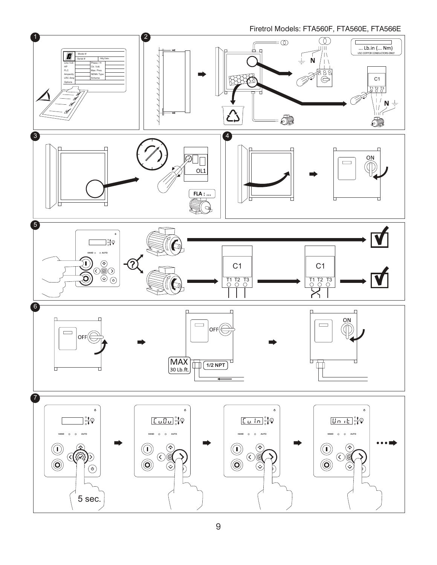Firetrol Models: FTA560F, FTA560E, FTA566E

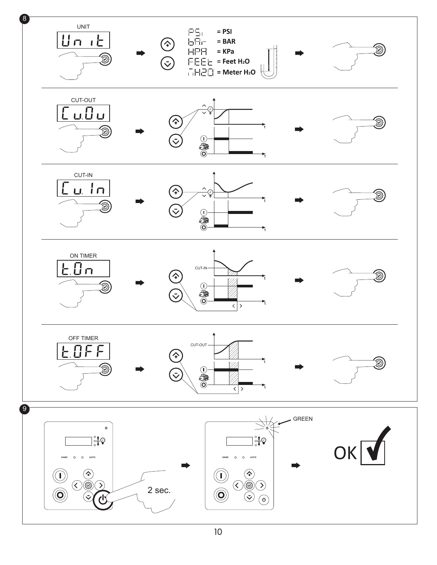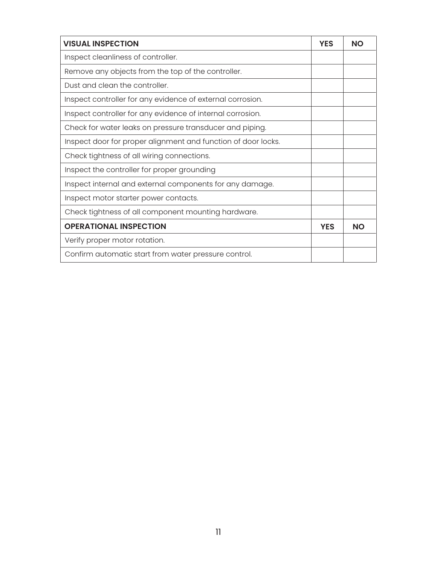| <b>VISUAL INSPECTION</b>                                      | <b>YES</b> | <b>NO</b> |
|---------------------------------------------------------------|------------|-----------|
| Inspect cleanliness of controller.                            |            |           |
| Remove any objects from the top of the controller.            |            |           |
| Dust and clean the controller.                                |            |           |
| Inspect controller for any evidence of external corrosion.    |            |           |
| Inspect controller for any evidence of internal corrosion.    |            |           |
| Check for water leaks on pressure transducer and piping.      |            |           |
| Inspect door for proper alignment and function of door locks. |            |           |
| Check tightness of all wiring connections.                    |            |           |
| Inspect the controller for proper grounding                   |            |           |
| Inspect internal and external components for any damage.      |            |           |
| Inspect motor starter power contacts.                         |            |           |
| Check tightness of all component mounting hardware.           |            |           |
| <b>OPERATIONAL INSPECTION</b>                                 | <b>YES</b> | <b>NO</b> |
| Verify proper motor rotation.                                 |            |           |
| Confirm automatic start from water pressure control.          |            |           |